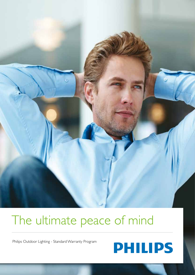

# The ultimate peace of mind

Philips Outdoor Lighting - Standard Warranty Program

# **PHILIPS**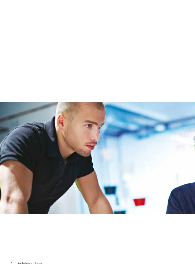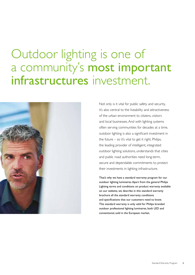# Outdoor lighting is one of a community's most important infrastructures investment.



Not only is it vital for public safety and security, it's also central to the liveability and attractiveness of the urban environment to citizens, visitors and local businesses. And with lighting systems often serving communities for decades at a time, outdoor lighting is also a significant investment in the future – so it's vital to get it right. Philips, the leading provider of intelligent, integrated outdoor lighting solutions, understands that cities and public road authorities need long-term, secure and dependable commitments to protect their investments in lighting infrastructure.

That's why we have a standard warranty program for our outdoor lighting luminaires. Apart from the general Philips Lighting terms and conditions on product warranty available on our website, we describe in this standard warranty brochure all the standard warranty conditions and specifications that our customers need to know. This standard warranty is only valid for Philips branded outdoor professional lighting luminaires, both LED and conventional, sold in the European market.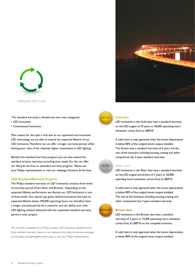

Lifecycle Services

The standard warranty is divided into two main categories:

• LED luminaires

• Conventional luminaires

Main reason for this split is that due to our optimised and innovative LED technology we are able to extend the expected lifetime of our LED luminaires. Therefore we can offer a longer warranty period, whilst limiting your risks of the relatively higher investments in LED lighting.

Besides this standard warranty program you can also extend the standard product warranty according your needs. For this we offer our lifecycle services or extended warranty program. Please ask your Philips representative or visit our webpage Solutions & Services.

#### **LED Standard Warranty Program**

The Philips standard warranty on LED luminaires contains three levels of warranty period (Gold, Silver and Bronze). Depending on the expected lifetime performance we allocate our LED luminaires in one of these levels. Our special top green defined luminaires that have an expected lifetime above 100,000 operating hours can therefore have a longer warranty period. As a customer you can define your own LED lighting solution balanced with the requested standard warranty period in your project.

You can find a complete list of Philips outdoor LED luminaires, classified by the three standard warranty classes on our website at the lifecycle services webpage (www.philips.com/lightinglifecycleservices) or ask your Philips representative.





### **Gold class**

LED luminaires in the Gold class have a standard warranty on the LED engine of 10 years or 40,000 operating hours (whatever comes first) at L80F10.

A valid claim is only approved when the lumen depreciation is below 80% of the original lumen output installed. The drivers have a standard warranty of 5 years and the rest of the luminaire, including housing, coating and other components has 3 years standard warranty.

## **Silver class**

LED luminaires in the Silver class have a standard warranty on the LED engine and drivers of 5 years or 20,000 operating hours (whatever comes first) at L80F10.

A valid claim is only approved when the lumen depreciation is below 80% of the original lumen output installed. The rest of the luminaire, including housing, coating and other components has 3 years standard warranty.



SILVER

#### **Bronze class**

LED luminaires in the Bronze class have a standard warranty of 3 years or 12,000 operating hours (whatever comes first) at L80F10 on the complete luminaire.

A valid claim is only approved when the lumen depreciation is below 80% of the original lumen output installed.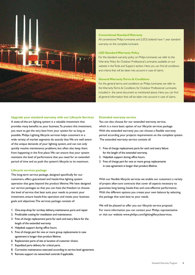

#### **Conventional Standard Warranty**

All conventional Philips luminaires and (LED) bollards have 1 year standard warranty on the complete luminaire.

# **LED Standard Warranty Policy**

For the standard warranty policy on Philips luminaires we refer to the Warranty Policy for Outdoor Professional Luminaires. available on our website in the Tools and Support section. Here you can find all conditions and criteria that will be taken into account in case of claims.

#### **General Warranty Terms & Conditions**

For the general terms and conditions on Philips luminaires we refer to the Warranty Terms & Conditions for Outdoor Professional Luminaires included in the same document as mentioned above. Here you can find all general information that will be taken into account in case of claims.

### **Upgrade your standard warranty with our Lifecycle Services**

A state-of-the-art lighting system is a valuable investment that provides many benefits to your business. To protect this investment, you want to get the very best from your system for as long as possible. Philips Lighting lifecycle services helps customers in a wide variety of market segments do exactly that. We are well aware of the unique demands of your lighting system, and can not only quickly resolve maintenance problems, but often also keep them from happening in the first place. We can ensure that your system maintains the level of performance that you need for an extended period of time and so push the system's lifecycle to its maximum.

#### **Lifecycle services package**

This long-term service package, designed specifically for our customers, offers guaranteed and hassle-free lighting system operation that goes beyond the product lifetime. We have designed our service packages so that you can have the freedom to choose the level of service that best suits your needs to protect your investment, ensure hassle-free operation and meets your business goals and objectives. The services package consists of:

- 1. One-stop-shop for turnkey delivery, maintenance parts and repair.
- 2. Predictable costing for installation and maintenance.
- 3. Free of charge replacement parts for each and every failure for the length of the extended warranty.
- 4. Helpdesk support during office hours.
- 5. Free of charge part for one or more group replacements in case agreement is longer than product lifetime.
- 6. Replacement parts of site at location of customer choice.
- 7. Expedited parts delivery for critical parts.
- 8. Corrective maintenance executed according to service level agreement.
- 9. Remote support via networked controls if applicable.

#### **Extended warranty service**

You can also choose for our extended warranty service, which is a more basic option of our lifecycle services package. With the extended warranty you can choose a flexible warranty period according your projects requirements on the complete system. The extended warranty service consists of:

- 1. Free of charge replacement parts for each and every failure for the length of the extended warranty.
- 2. Helpdesk support during office hours.
- 3. Free of charge part for one or more group replacements in case agreement is longer than product lifetime.

With our flexible lifecycle services we enable our customers a variety of project after-care contracts that cover all aspects necessary to guarantee long lasting, hassle-free and cost-effective performance. With the different options you create your own balance by selecting the package that suits best to your needs.

We will be pleased to offer you our lifecycle service proposal. For more information you can contact your Philips representative or visit our website www.philips.com/lightinglifecycleservices.